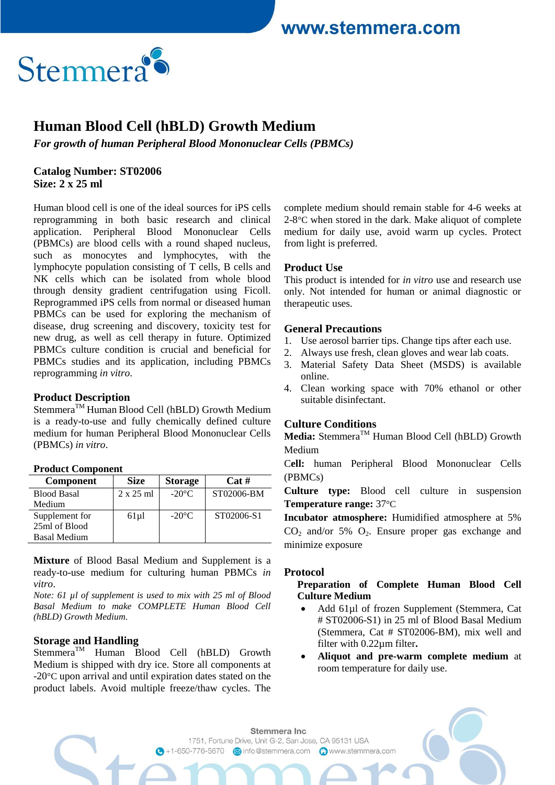www.stemmera.com



# **Human Blood Cell (hBLD) Growth Medium**

*For growth of human Peripheral Blood Mononuclear Cells (PBMCs)*

#### **Catalog Number: ST02006 Size: 2 x 25 ml**

Human blood cell is one of the ideal sources for iPS cells reprogramming in both basic research and clinical application. Peripheral Blood Mononuclear Cells (PBMCs) are blood cells with a round shaped nucleus, such as monocytes and lymphocytes, with the lymphocyte population consisting of T cells, B cells and NK cells which can be isolated from whole blood through density gradient centrifugation using Ficoll. Reprogrammed iPS cells from normal or diseased human PBMCs can be used for exploring the mechanism of disease, drug screening and discovery, toxicity test for new drug, as well as cell therapy in future. Optimized PBMCs culture condition is crucial and beneficial for PBMCs studies and its application, including PBMCs reprogramming *in vitro*.

### **Product Description**

Stemmera<sup>TM</sup> Human Blood Cell (hBLD) Growth Medium is a ready-to-use and fully chemically defined culture medium for human Peripheral Blood Mononuclear Cells (PBMCs) *in vitro*.

#### **Product Component**

| <b>Component</b>    | <b>Size</b>      | <b>Storage</b>  | Cat#       |
|---------------------|------------------|-----------------|------------|
| <b>Blood Basal</b>  | $2 \times 25$ ml | $-20^{\circ}$ C | ST02006-BM |
| Medium              |                  |                 |            |
| Supplement for      | $61 \mu$ l       | $-20^{\circ}$ C | ST02006-S1 |
| 25ml of Blood       |                  |                 |            |
| <b>Basal Medium</b> |                  |                 |            |

**Mixture** of Blood Basal Medium and Supplement is a ready-to-use medium for culturing human PBMCs *in vitro*.

*Note: 61 µl of supplement is used to mix with 25 ml of Blood Basal Medium to make COMPLETE Human Blood Cell (hBLD) Growth Medium.*

#### **Storage and Handling**

Stemmera<sup>TM</sup> Human Blood Cell (hBLD) Growth Medium is shipped with dry ice. Store all components at -20°C upon arrival and until expiration dates stated on the product labels. Avoid multiple freeze/thaw cycles. The complete medium should remain stable for 4-6 weeks at 2-8<sup>°</sup>C when stored in the dark. Make aliquot of complete medium for daily use, avoid warm up cycles. Protect from light is preferred.

#### **Product Use**

This product is intended for *in vitro* use and research use only. Not intended for human or animal diagnostic or therapeutic uses.

#### **General Precautions**

- 1. Use aerosol barrier tips. Change tips after each use.
- 2. Always use fresh, clean gloves and wear lab coats.
- 3. Material Safety Data Sheet (MSDS) is available online.
- 4. Clean working space with 70% ethanol or other suitable disinfectant.

#### **Culture Conditions**

Media: Stemmera<sup>™</sup> Human Blood Cell (hBLD) Growth Medium

C**ell:** human Peripheral Blood Mononuclear Cells (PBMCs)

**Culture type:** Blood cell culture in suspension **Temperature range:** 37°C

**Incubator atmosphere:** Humidified atmosphere at 5%  $CO<sub>2</sub>$  and/or 5%  $O<sub>2</sub>$ . Ensure proper gas exchange and minimize exposure

#### **Protocol**

#### **Preparation of Complete Human Blood Cell Culture Medium**

- Add 61µl of frozen Supplement (Stemmera, Cat # ST02006-S1) in 25 ml of Blood Basal Medium (Stemmera, Cat # ST02006-BM), mix well and filter with 0.22µm filter**.**
- **Aliquot and pre-warm complete medium** at room temperature for daily use.

Stemmera Inc. 1751, Fortune Drive, Unit G-2, San Jose, CA 95131 USA G +1-650-776-5670 a info@stemmera.com C www.stemmera.com